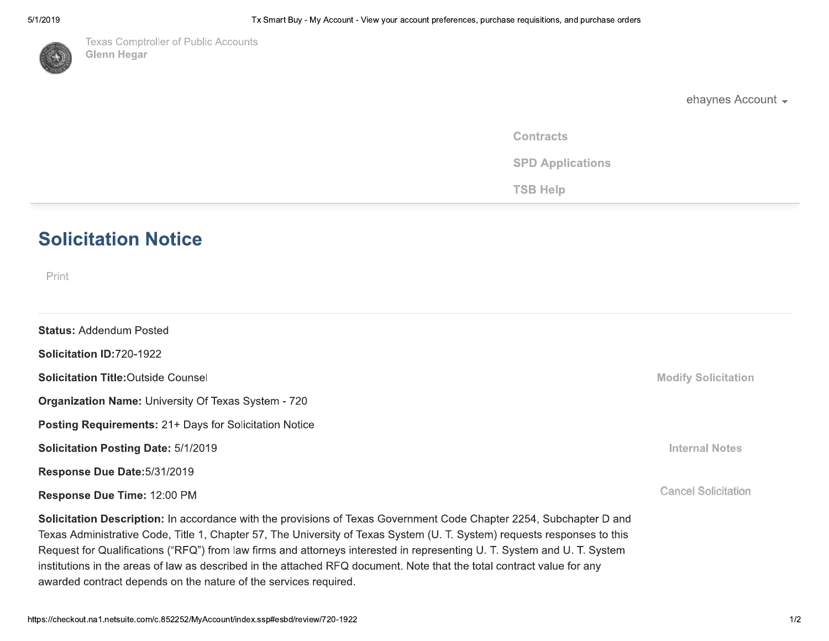

**Texas Comptroller of Public Accounts Glenn Hegar** 

ehaynes Account -

**Contracts** 

**SPD Applications** 

**TSB Help** 

# **Solicitation Notice**

Print

| <b>Status: Addendum Posted</b>                                                                                                                                                                                                                  |                            |
|-------------------------------------------------------------------------------------------------------------------------------------------------------------------------------------------------------------------------------------------------|----------------------------|
| Solicitation ID:720-1922                                                                                                                                                                                                                        |                            |
| <b>Solicitation Title: Outside Counsel</b>                                                                                                                                                                                                      | <b>Modify Solicitation</b> |
| <b>Organization Name: University Of Texas System - 720</b>                                                                                                                                                                                      |                            |
| <b>Posting Requirements: 21+ Days for Solicitation Notice</b>                                                                                                                                                                                   |                            |
| <b>Solicitation Posting Date: 5/1/2019</b>                                                                                                                                                                                                      | <b>Internal Notes</b>      |
| Response Due Date: 5/31/2019                                                                                                                                                                                                                    |                            |
| Response Due Time: 12:00 PM                                                                                                                                                                                                                     | <b>Cancel Solicitation</b> |
| Solicitation Description: In accordance with the provisions of Texas Government Code Chapter 2254, Subchapter D and<br>Texas Administrative Code, Title 1, Chapter 57, The University of Texas System (U. T. System) requests responses to this |                            |

Request for Qualifications ("RFQ") from law firms and attorneys interested in representing U. T. System and U. T. System institutions in the areas of law as described in the attached RFQ document. Note that the total contract value for any awarded contract depends on the nature of the services required.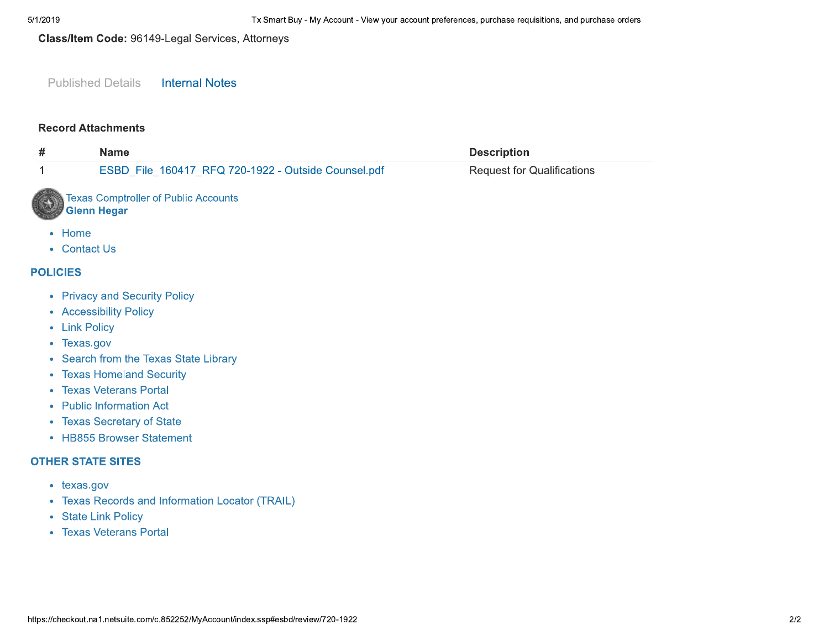## Class/Item Code: 96149-Legal Services, Attorneys

#### **Published Details Internal Notes**

### **Record Attachments**

| #               | <b>Name</b>                                                                                                                                                                                                                                                                               | <b>Description</b>                |
|-----------------|-------------------------------------------------------------------------------------------------------------------------------------------------------------------------------------------------------------------------------------------------------------------------------------------|-----------------------------------|
| 1               | ESBD_File_160417_RFQ 720-1922 - Outside Counsel.pdf                                                                                                                                                                                                                                       | <b>Request for Qualifications</b> |
|                 | <b>Texas Comptroller of Public Accounts</b><br><b>Glenn Hegar</b>                                                                                                                                                                                                                         |                                   |
| Home            | • Contact Us                                                                                                                                                                                                                                                                              |                                   |
| <b>POLICIES</b> |                                                                                                                                                                                                                                                                                           |                                   |
| ٠               | • Privacy and Security Policy<br>• Accessibility Policy<br>• Link Policy<br>• Texas.gov<br>• Search from the Texas State Library<br><b>Texas Homeland Security</b><br><b>Texas Veterans Portal</b><br>• Public Information Act<br>• Texas Secretary of State<br>• HB855 Browser Statement |                                   |
|                 | <b>OTHER STATE SITES</b>                                                                                                                                                                                                                                                                  |                                   |
| ٠<br>٠          | texas.gov<br><b>Texas Records and Information Locator (TRAIL)</b><br>• State Link Policy<br>• Texas Veterans Portal                                                                                                                                                                       |                                   |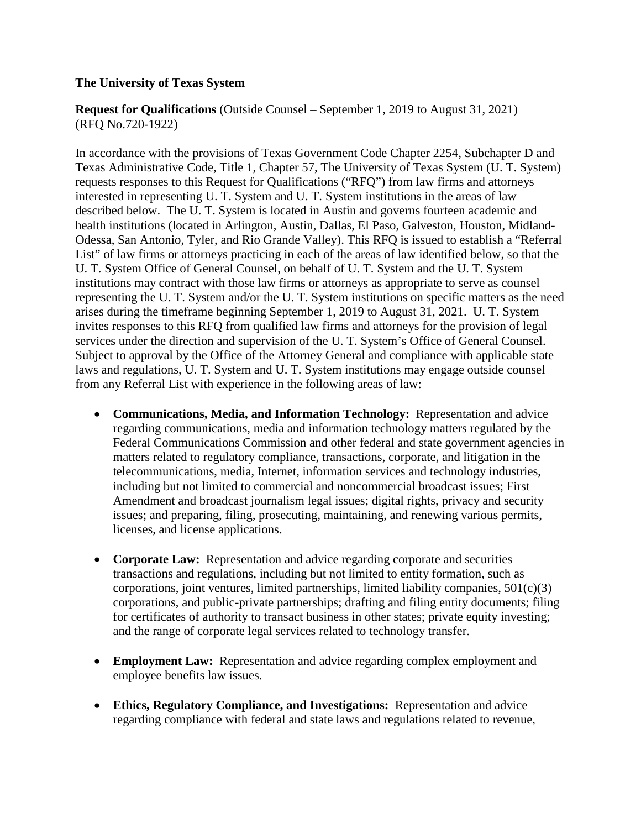# **The University of Texas System**

**Request for Qualifications** (Outside Counsel – September 1, 2019 to August 31, 2021) (RFQ No.720-1922)

In accordance with the provisions of Texas Government Code Chapter 2254, Subchapter D and Texas Administrative Code, Title 1, Chapter 57, The University of Texas System (U. T. System) requests responses to this Request for Qualifications ("RFQ") from law firms and attorneys interested in representing U. T. System and U. T. System institutions in the areas of law described below. The U. T. System is located in Austin and governs fourteen academic and health institutions (located in Arlington, Austin, Dallas, El Paso, Galveston, Houston, Midland-Odessa, San Antonio, Tyler, and Rio Grande Valley). This RFQ is issued to establish a "Referral List" of law firms or attorneys practicing in each of the areas of law identified below, so that the U. T. System Office of General Counsel, on behalf of U. T. System and the U. T. System institutions may contract with those law firms or attorneys as appropriate to serve as counsel representing the U. T. System and/or the U. T. System institutions on specific matters as the need arises during the timeframe beginning September 1, 2019 to August 31, 2021. U. T. System invites responses to this RFQ from qualified law firms and attorneys for the provision of legal services under the direction and supervision of the U. T. System's Office of General Counsel. Subject to approval by the Office of the Attorney General and compliance with applicable state laws and regulations, U. T. System and U. T. System institutions may engage outside counsel from any Referral List with experience in the following areas of law:

- **Communications, Media, and Information Technology:** Representation and advice regarding communications, media and information technology matters regulated by the Federal Communications Commission and other federal and state government agencies in matters related to regulatory compliance, transactions, corporate, and litigation in the telecommunications, media, Internet, information services and technology industries, including but not limited to commercial and noncommercial broadcast issues; First Amendment and broadcast journalism legal issues; digital rights, privacy and security issues; and preparing, filing, prosecuting, maintaining, and renewing various permits, licenses, and license applications.
- **Corporate Law:** Representation and advice regarding corporate and securities transactions and regulations, including but not limited to entity formation, such as corporations, joint ventures, limited partnerships, limited liability companies,  $501(c)(3)$ corporations, and public-private partnerships; drafting and filing entity documents; filing for certificates of authority to transact business in other states; private equity investing; and the range of corporate legal services related to technology transfer.
- **Employment Law:** Representation and advice regarding complex employment and employee benefits law issues.
- **Ethics, Regulatory Compliance, and Investigations:** Representation and advice regarding compliance with federal and state laws and regulations related to revenue,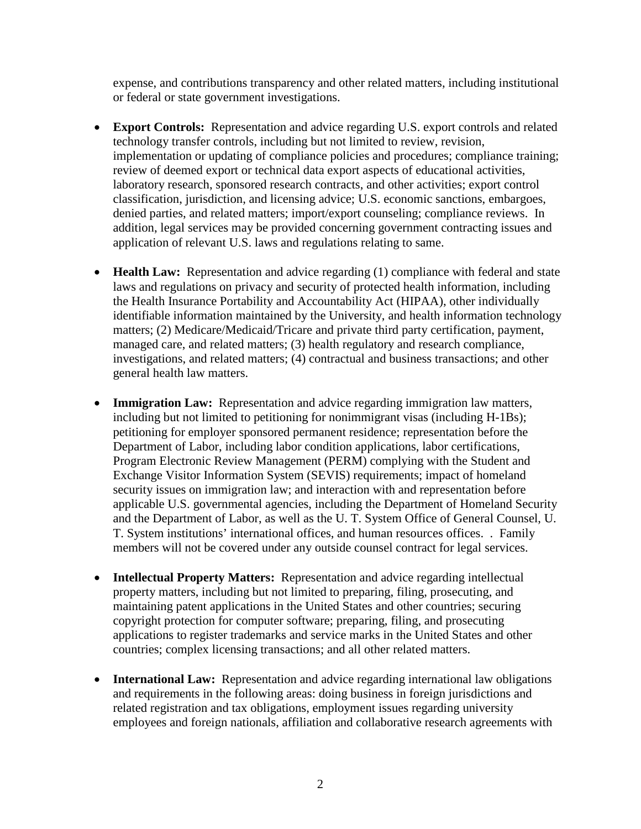expense, and contributions transparency and other related matters, including institutional or federal or state government investigations.

- **Export Controls:** Representation and advice regarding U.S. export controls and related technology transfer controls, including but not limited to review, revision, implementation or updating of compliance policies and procedures; compliance training; review of deemed export or technical data export aspects of educational activities, laboratory research, sponsored research contracts, and other activities; export control classification, jurisdiction, and licensing advice; U.S. economic sanctions, embargoes, denied parties, and related matters; import/export counseling; compliance reviews. In addition, legal services may be provided concerning government contracting issues and application of relevant U.S. laws and regulations relating to same.
- **Health Law:** Representation and advice regarding (1) compliance with federal and state laws and regulations on privacy and security of protected health information, including the Health Insurance Portability and Accountability Act (HIPAA), other individually identifiable information maintained by the University, and health information technology matters; (2) Medicare/Medicaid/Tricare and private third party certification, payment, managed care, and related matters; (3) health regulatory and research compliance, investigations, and related matters; (4) contractual and business transactions; and other general health law matters.
- **Immigration Law:** Representation and advice regarding immigration law matters, including but not limited to petitioning for nonimmigrant visas (including H-1Bs); petitioning for employer sponsored permanent residence; representation before the Department of Labor, including labor condition applications, labor certifications, Program Electronic Review Management (PERM) complying with the Student and Exchange Visitor Information System (SEVIS) requirements; impact of homeland security issues on immigration law; and interaction with and representation before applicable U.S. governmental agencies, including the Department of Homeland Security and the Department of Labor, as well as the U. T. System Office of General Counsel, U. T. System institutions' international offices, and human resources offices. . Family members will not be covered under any outside counsel contract for legal services.
- **Intellectual Property Matters:** Representation and advice regarding intellectual property matters, including but not limited to preparing, filing, prosecuting, and maintaining patent applications in the United States and other countries; securing copyright protection for computer software; preparing, filing, and prosecuting applications to register trademarks and service marks in the United States and other countries; complex licensing transactions; and all other related matters.
- **International Law:** Representation and advice regarding international law obligations and requirements in the following areas: doing business in foreign jurisdictions and related registration and tax obligations, employment issues regarding university employees and foreign nationals, affiliation and collaborative research agreements with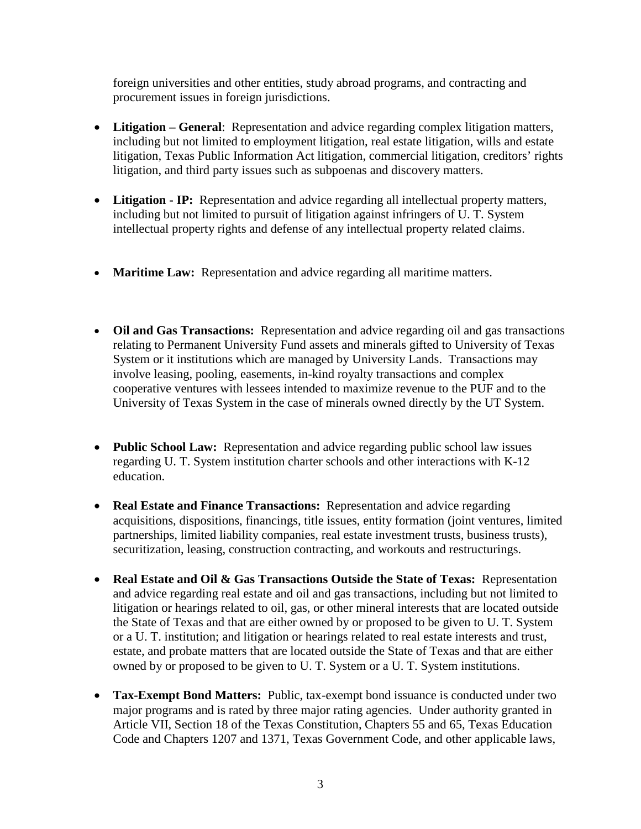foreign universities and other entities, study abroad programs, and contracting and procurement issues in foreign jurisdictions.

- **Litigation – General**: Representation and advice regarding complex litigation matters, including but not limited to employment litigation, real estate litigation, wills and estate litigation, Texas Public Information Act litigation, commercial litigation, creditors' rights litigation, and third party issues such as subpoenas and discovery matters.
- **Litigation - IP:** Representation and advice regarding all intellectual property matters, including but not limited to pursuit of litigation against infringers of U. T. System intellectual property rights and defense of any intellectual property related claims.
- **Maritime Law:** Representation and advice regarding all maritime matters.
- **Oil and Gas Transactions:** Representation and advice regarding oil and gas transactions relating to Permanent University Fund assets and minerals gifted to University of Texas System or it institutions which are managed by University Lands. Transactions may involve leasing, pooling, easements, in-kind royalty transactions and complex cooperative ventures with lessees intended to maximize revenue to the PUF and to the University of Texas System in the case of minerals owned directly by the UT System.
- **Public School Law:** Representation and advice regarding public school law issues regarding U. T. System institution charter schools and other interactions with K-12 education.
- **Real Estate and Finance Transactions:** Representation and advice regarding acquisitions, dispositions, financings, title issues, entity formation (joint ventures, limited partnerships, limited liability companies, real estate investment trusts, business trusts), securitization, leasing, construction contracting, and workouts and restructurings.
- **Real Estate and Oil & Gas Transactions Outside the State of Texas:** Representation and advice regarding real estate and oil and gas transactions, including but not limited to litigation or hearings related to oil, gas, or other mineral interests that are located outside the State of Texas and that are either owned by or proposed to be given to U. T. System or a U. T. institution; and litigation or hearings related to real estate interests and trust, estate, and probate matters that are located outside the State of Texas and that are either owned by or proposed to be given to U. T. System or a U. T. System institutions.
- **Tax-Exempt Bond Matters:** Public, tax-exempt bond issuance is conducted under two major programs and is rated by three major rating agencies. Under authority granted in Article VII, Section 18 of the Texas Constitution, Chapters 55 and 65, Texas Education Code and Chapters 1207 and 1371, Texas Government Code, and other applicable laws,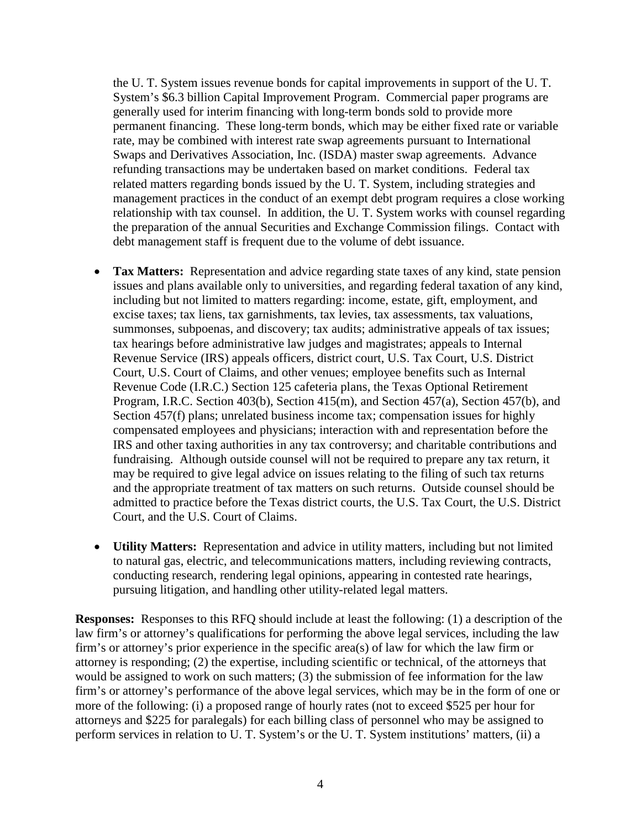the U. T. System issues revenue bonds for capital improvements in support of the U. T. System's \$6.3 billion Capital Improvement Program. Commercial paper programs are generally used for interim financing with long-term bonds sold to provide more permanent financing. These long-term bonds, which may be either fixed rate or variable rate, may be combined with interest rate swap agreements pursuant to International Swaps and Derivatives Association, Inc. (ISDA) master swap agreements. Advance refunding transactions may be undertaken based on market conditions. Federal tax related matters regarding bonds issued by the U. T. System, including strategies and management practices in the conduct of an exempt debt program requires a close working relationship with tax counsel. In addition, the U. T. System works with counsel regarding the preparation of the annual Securities and Exchange Commission filings. Contact with debt management staff is frequent due to the volume of debt issuance.

- **Tax Matters:** Representation and advice regarding state taxes of any kind, state pension issues and plans available only to universities, and regarding federal taxation of any kind, including but not limited to matters regarding: income, estate, gift, employment, and excise taxes; tax liens, tax garnishments, tax levies, tax assessments, tax valuations, summonses, subpoenas, and discovery; tax audits; administrative appeals of tax issues; tax hearings before administrative law judges and magistrates; appeals to Internal Revenue Service (IRS) appeals officers, district court, U.S. Tax Court, U.S. District Court, U.S. Court of Claims, and other venues; employee benefits such as Internal Revenue Code (I.R.C.) Section 125 cafeteria plans, the Texas Optional Retirement Program, I.R.C. Section 403(b), Section 415(m), and Section 457(a), Section 457(b), and Section 457(f) plans; unrelated business income tax; compensation issues for highly compensated employees and physicians; interaction with and representation before the IRS and other taxing authorities in any tax controversy; and charitable contributions and fundraising. Although outside counsel will not be required to prepare any tax return, it may be required to give legal advice on issues relating to the filing of such tax returns and the appropriate treatment of tax matters on such returns. Outside counsel should be admitted to practice before the Texas district courts, the U.S. Tax Court, the U.S. District Court, and the U.S. Court of Claims.
- **Utility Matters:** Representation and advice in utility matters, including but not limited to natural gas, electric, and telecommunications matters, including reviewing contracts, conducting research, rendering legal opinions, appearing in contested rate hearings, pursuing litigation, and handling other utility-related legal matters.

**Responses:** Responses to this RFQ should include at least the following: (1) a description of the law firm's or attorney's qualifications for performing the above legal services, including the law firm's or attorney's prior experience in the specific area(s) of law for which the law firm or attorney is responding; (2) the expertise, including scientific or technical, of the attorneys that would be assigned to work on such matters; (3) the submission of fee information for the law firm's or attorney's performance of the above legal services, which may be in the form of one or more of the following: (i) a proposed range of hourly rates (not to exceed \$525 per hour for attorneys and \$225 for paralegals) for each billing class of personnel who may be assigned to perform services in relation to U. T. System's or the U. T. System institutions' matters, (ii) a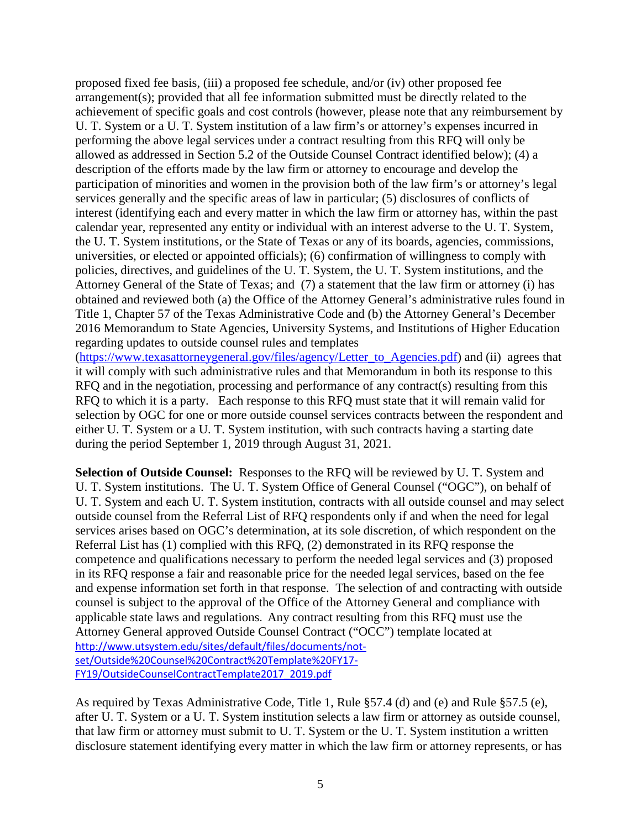proposed fixed fee basis, (iii) a proposed fee schedule, and/or (iv) other proposed fee arrangement(s); provided that all fee information submitted must be directly related to the achievement of specific goals and cost controls (however, please note that any reimbursement by U. T. System or a U. T. System institution of a law firm's or attorney's expenses incurred in performing the above legal services under a contract resulting from this RFQ will only be allowed as addressed in Section 5.2 of the Outside Counsel Contract identified below); (4) a description of the efforts made by the law firm or attorney to encourage and develop the participation of minorities and women in the provision both of the law firm's or attorney's legal services generally and the specific areas of law in particular; (5) disclosures of conflicts of interest (identifying each and every matter in which the law firm or attorney has, within the past calendar year, represented any entity or individual with an interest adverse to the U. T. System, the U. T. System institutions, or the State of Texas or any of its boards, agencies, commissions, universities, or elected or appointed officials); (6) confirmation of willingness to comply with policies, directives, and guidelines of the U. T. System, the U. T. System institutions, and the Attorney General of the State of Texas; and (7) a statement that the law firm or attorney (i) has obtained and reviewed both (a) the Office of the Attorney General's administrative rules found in Title 1, Chapter 57 of the Texas Administrative Code and (b) the Attorney General's December 2016 Memorandum to State Agencies, University Systems, and Institutions of Higher Education regarding updates to outside counsel rules and templates

[\(https://www.texasattorneygeneral.gov/files/agency/Letter\\_to\\_Agencies.pdf\)](https://www.texasattorneygeneral.gov/files/agency/Letter_to_Agencies.pdf) and (ii) agrees that it will comply with such administrative rules and that Memorandum in both its response to this RFQ and in the negotiation, processing and performance of any contract(s) resulting from this RFQ to which it is a party. Each response to this RFQ must state that it will remain valid for selection by OGC for one or more outside counsel services contracts between the respondent and either U. T. System or a U. T. System institution, with such contracts having a starting date during the period September 1, 2019 through August 31, 2021.

**Selection of Outside Counsel:** Responses to the RFQ will be reviewed by U. T. System and U. T. System institutions. The U. T. System Office of General Counsel ("OGC"), on behalf of U. T. System and each U. T. System institution, contracts with all outside counsel and may select outside counsel from the Referral List of RFQ respondents only if and when the need for legal services arises based on OGC's determination, at its sole discretion, of which respondent on the Referral List has (1) complied with this RFQ, (2) demonstrated in its RFQ response the competence and qualifications necessary to perform the needed legal services and (3) proposed in its RFQ response a fair and reasonable price for the needed legal services, based on the fee and expense information set forth in that response. The selection of and contracting with outside counsel is subject to the approval of the Office of the Attorney General and compliance with applicable state laws and regulations. Any contract resulting from this RFQ must use the Attorney General approved Outside Counsel Contract ("OCC") template located at [http://www.utsystem.edu/sites/default/files/documents/not](http://www.utsystem.edu/sites/default/files/documents/not-set/Outside%20Counsel%20Contract%20Template%20FY17-FY19/OutsideCounselContractTemplate2017_2019.pdf)[set/Outside%20Counsel%20Contract%20Template%20FY17-](http://www.utsystem.edu/sites/default/files/documents/not-set/Outside%20Counsel%20Contract%20Template%20FY17-FY19/OutsideCounselContractTemplate2017_2019.pdf) [FY19/OutsideCounselContractTemplate2017\\_2019.pdf](http://www.utsystem.edu/sites/default/files/documents/not-set/Outside%20Counsel%20Contract%20Template%20FY17-FY19/OutsideCounselContractTemplate2017_2019.pdf)

As required by Texas Administrative Code, Title 1, Rule §57.4 (d) and (e) and Rule §57.5 (e), after U. T. System or a U. T. System institution selects a law firm or attorney as outside counsel, that law firm or attorney must submit to U. T. System or the U. T. System institution a written disclosure statement identifying every matter in which the law firm or attorney represents, or has